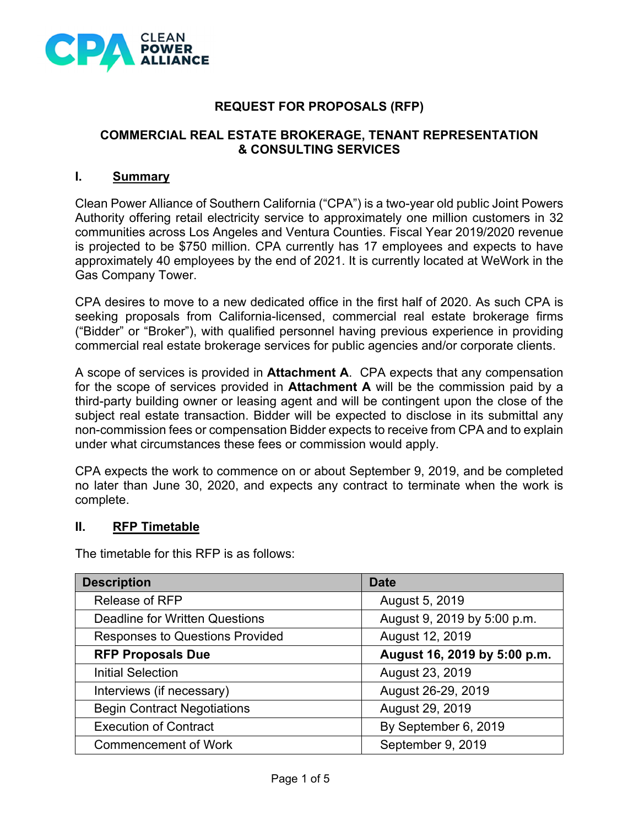

## **REQUEST FOR PROPOSALS (RFP)**

#### **COMMERCIAL REAL ESTATE BROKERAGE, TENANT REPRESENTATION & CONSULTING SERVICES**

#### **I. Summary**

Clean Power Alliance of Southern California ("CPA") is a two-year old public Joint Powers Authority offering retail electricity service to approximately one million customers in 32 communities across Los Angeles and Ventura Counties. Fiscal Year 2019/2020 revenue is projected to be \$750 million. CPA currently has 17 employees and expects to have approximately 40 employees by the end of 2021. It is currently located at WeWork in the Gas Company Tower.

CPA desires to move to a new dedicated office in the first half of 2020. As such CPA is seeking proposals from California-licensed, commercial real estate brokerage firms ("Bidder" or "Broker"), with qualified personnel having previous experience in providing commercial real estate brokerage services for public agencies and/or corporate clients.

A scope of services is provided in **Attachment A**. CPA expects that any compensation for the scope of services provided in **Attachment A** will be the commission paid by a third-party building owner or leasing agent and will be contingent upon the close of the subject real estate transaction. Bidder will be expected to disclose in its submittal any non-commission fees or compensation Bidder expects to receive from CPA and to explain under what circumstances these fees or commission would apply.

CPA expects the work to commence on or about September 9, 2019, and be completed no later than June 30, 2020, and expects any contract to terminate when the work is complete.

#### **II. RFP Timetable**

The timetable for this RFP is as follows:

| <b>Description</b>                     | <b>Date</b>                  |
|----------------------------------------|------------------------------|
| <b>Release of RFP</b>                  | August 5, 2019               |
| <b>Deadline for Written Questions</b>  | August 9, 2019 by 5:00 p.m.  |
| <b>Responses to Questions Provided</b> | August 12, 2019              |
| <b>RFP Proposals Due</b>               | August 16, 2019 by 5:00 p.m. |
| <b>Initial Selection</b>               | August 23, 2019              |
| Interviews (if necessary)              | August 26-29, 2019           |
| <b>Begin Contract Negotiations</b>     | August 29, 2019              |
| <b>Execution of Contract</b>           | By September 6, 2019         |
| <b>Commencement of Work</b>            | September 9, 2019            |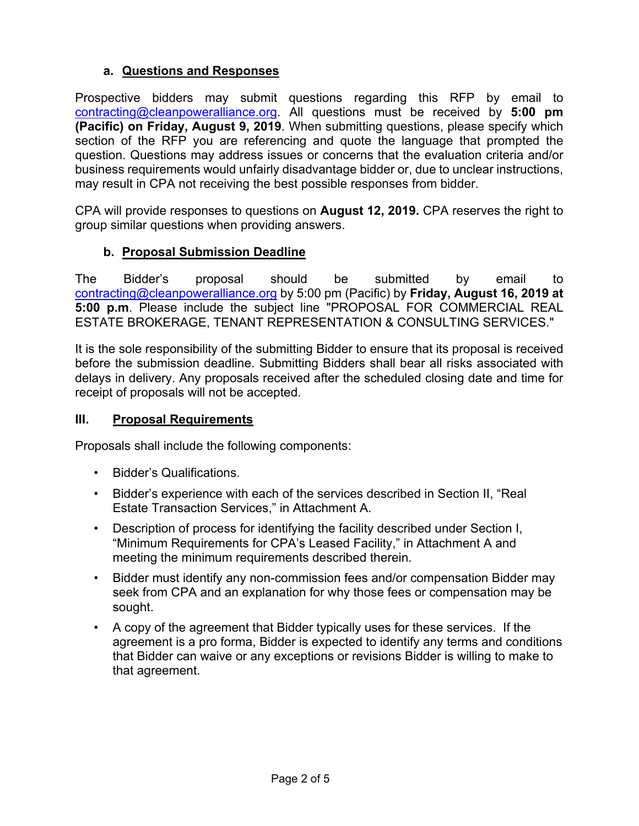## **a. Questions and Responses**

Prospective bidders may submit questions regarding this RFP by email to contracting@cleanpoweralliance.org. All questions must be received by **5:00 pm (Pacific) on Friday, August 9, 2019**. When submitting questions, please specify which section of the RFP you are referencing and quote the language that prompted the question. Questions may address issues or concerns that the evaluation criteria and/or business requirements would unfairly disadvantage bidder or, due to unclear instructions, may result in CPA not receiving the best possible responses from bidder.

CPA will provide responses to questions on **August 12, 2019.** CPA reserves the right to group similar questions when providing answers.

## **b. Proposal Submission Deadline**

The Bidder's proposal should be submitted by email to contracting@cleanpoweralliance.org by 5:00 pm (Pacific) by **Friday, August 16, 2019 at 5:00 p.m**. Please include the subject line "PROPOSAL FOR COMMERCIAL REAL ESTATE BROKERAGE, TENANT REPRESENTATION & CONSULTING SERVICES."

It is the sole responsibility of the submitting Bidder to ensure that its proposal is received before the submission deadline. Submitting Bidders shall bear all risks associated with delays in delivery. Any proposals received after the scheduled closing date and time for receipt of proposals will not be accepted.

#### **III. Proposal Requirements**

Proposals shall include the following components:

- Bidder's Qualifications.
- Bidder's experience with each of the services described in Section II, "Real Estate Transaction Services," in Attachment A.
- Description of process for identifying the facility described under Section I, "Minimum Requirements for CPA's Leased Facility," in Attachment A and meeting the minimum requirements described therein.
- Bidder must identify any non-commission fees and/or compensation Bidder may seek from CPA and an explanation for why those fees or compensation may be sought.
- A copy of the agreement that Bidder typically uses for these services. If the agreement is a pro forma, Bidder is expected to identify any terms and conditions that Bidder can waive or any exceptions or revisions Bidder is willing to make to that agreement.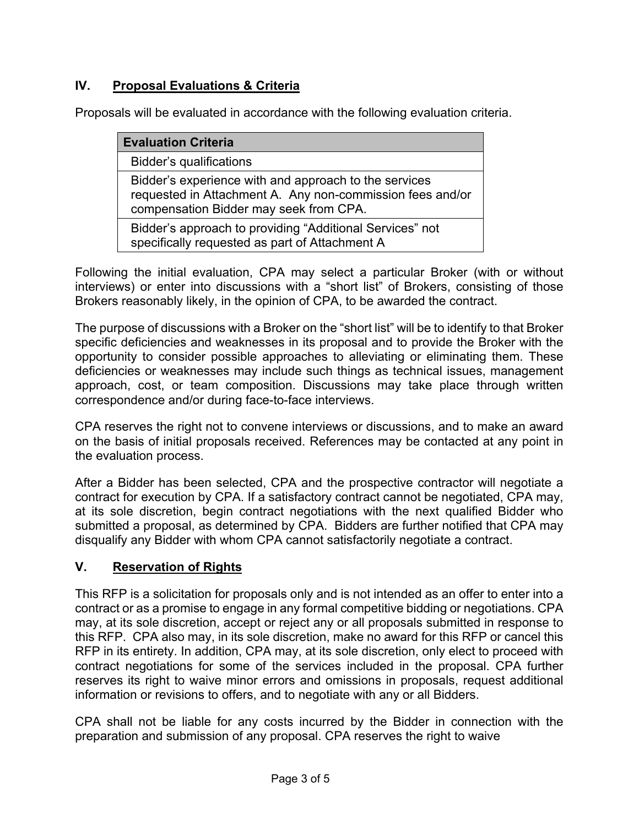## **IV. Proposal Evaluations & Criteria**

Proposals will be evaluated in accordance with the following evaluation criteria.

| <b>Evaluation Criteria</b>                                                                                                                                   |
|--------------------------------------------------------------------------------------------------------------------------------------------------------------|
| Bidder's qualifications                                                                                                                                      |
| Bidder's experience with and approach to the services<br>requested in Attachment A. Any non-commission fees and/or<br>compensation Bidder may seek from CPA. |
| Bidder's approach to providing "Additional Services" not<br>specifically requested as part of Attachment A                                                   |

Following the initial evaluation, CPA may select a particular Broker (with or without interviews) or enter into discussions with a "short list" of Brokers, consisting of those Brokers reasonably likely, in the opinion of CPA, to be awarded the contract.

The purpose of discussions with a Broker on the "short list" will be to identify to that Broker specific deficiencies and weaknesses in its proposal and to provide the Broker with the opportunity to consider possible approaches to alleviating or eliminating them. These deficiencies or weaknesses may include such things as technical issues, management approach, cost, or team composition. Discussions may take place through written correspondence and/or during face-to-face interviews.

CPA reserves the right not to convene interviews or discussions, and to make an award on the basis of initial proposals received. References may be contacted at any point in the evaluation process.

After a Bidder has been selected, CPA and the prospective contractor will negotiate a contract for execution by CPA. If a satisfactory contract cannot be negotiated, CPA may, at its sole discretion, begin contract negotiations with the next qualified Bidder who submitted a proposal, as determined by CPA. Bidders are further notified that CPA may disqualify any Bidder with whom CPA cannot satisfactorily negotiate a contract.

## **V. Reservation of Rights**

This RFP is a solicitation for proposals only and is not intended as an offer to enter into a contract or as a promise to engage in any formal competitive bidding or negotiations. CPA may, at its sole discretion, accept or reject any or all proposals submitted in response to this RFP. CPA also may, in its sole discretion, make no award for this RFP or cancel this RFP in its entirety. In addition, CPA may, at its sole discretion, only elect to proceed with contract negotiations for some of the services included in the proposal. CPA further reserves its right to waive minor errors and omissions in proposals, request additional information or revisions to offers, and to negotiate with any or all Bidders.

CPA shall not be liable for any costs incurred by the Bidder in connection with the preparation and submission of any proposal. CPA reserves the right to waive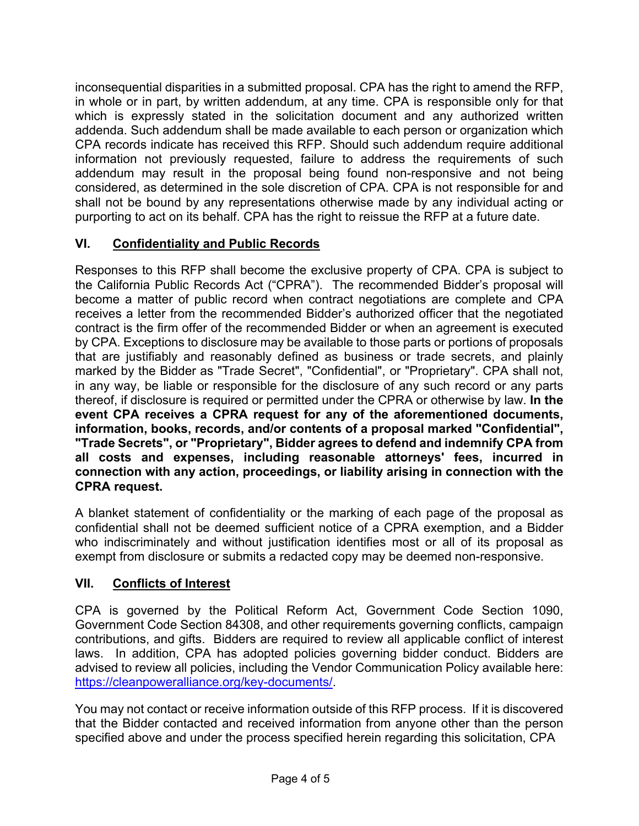inconsequential disparities in a submitted proposal. CPA has the right to amend the RFP, in whole or in part, by written addendum, at any time. CPA is responsible only for that which is expressly stated in the solicitation document and any authorized written addenda. Such addendum shall be made available to each person or organization which CPA records indicate has received this RFP. Should such addendum require additional information not previously requested, failure to address the requirements of such addendum may result in the proposal being found non-responsive and not being considered, as determined in the sole discretion of CPA. CPA is not responsible for and shall not be bound by any representations otherwise made by any individual acting or purporting to act on its behalf. CPA has the right to reissue the RFP at a future date.

## **VI. Confidentiality and Public Records**

Responses to this RFP shall become the exclusive property of CPA. CPA is subject to the California Public Records Act ("CPRA"). The recommended Bidder's proposal will become a matter of public record when contract negotiations are complete and CPA receives a letter from the recommended Bidder's authorized officer that the negotiated contract is the firm offer of the recommended Bidder or when an agreement is executed by CPA. Exceptions to disclosure may be available to those parts or portions of proposals that are justifiably and reasonably defined as business or trade secrets, and plainly marked by the Bidder as "Trade Secret", "Confidential", or "Proprietary". CPA shall not, in any way, be liable or responsible for the disclosure of any such record or any parts thereof, if disclosure is required or permitted under the CPRA or otherwise by law. **In the event CPA receives a CPRA request for any of the aforementioned documents, information, books, records, and/or contents of a proposal marked "Confidential", "Trade Secrets", or "Proprietary", Bidder agrees to defend and indemnify CPA from all costs and expenses, including reasonable attorneys' fees, incurred in connection with any action, proceedings, or liability arising in connection with the CPRA request.**

A blanket statement of confidentiality or the marking of each page of the proposal as confidential shall not be deemed sufficient notice of a CPRA exemption, and a Bidder who indiscriminately and without justification identifies most or all of its proposal as exempt from disclosure or submits a redacted copy may be deemed non-responsive.

## **VII. Conflicts of Interest**

CPA is governed by the Political Reform Act, Government Code Section 1090, Government Code Section 84308, and other requirements governing conflicts, campaign contributions, and gifts. Bidders are required to review all applicable conflict of interest laws. In addition, CPA has adopted policies governing bidder conduct. Bidders are advised to review all policies, including the Vendor Communication Policy available here: https://cleanpoweralliance.org/key-documents/.

You may not contact or receive information outside of this RFP process. If it is discovered that the Bidder contacted and received information from anyone other than the person specified above and under the process specified herein regarding this solicitation, CPA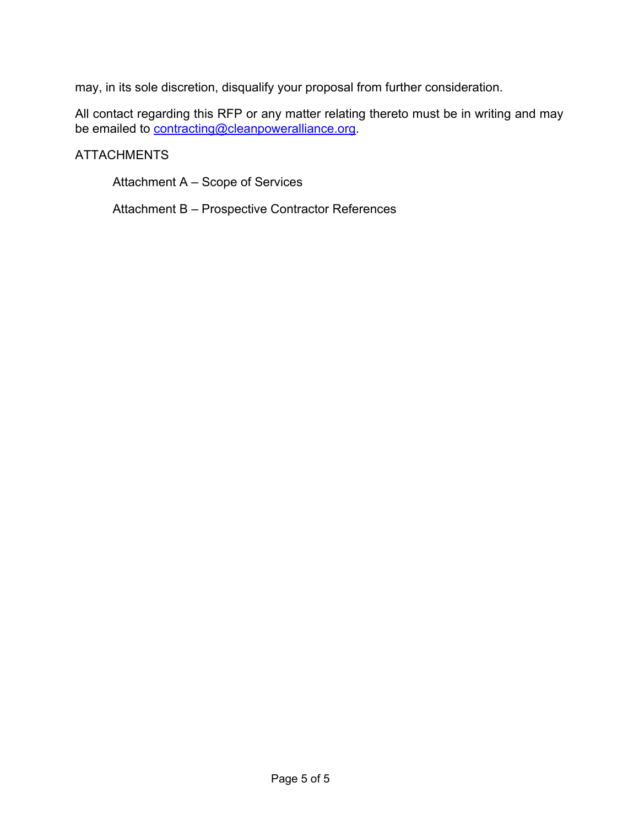may, in its sole discretion, disqualify your proposal from further consideration.

All contact regarding this RFP or any matter relating thereto must be in writing and may be emailed to <u>contracting@cleanpoweralliance.org</u>.

#### **ATTACHMENTS**

Attachment A – Scope of Services

Attachment B – Prospective Contractor References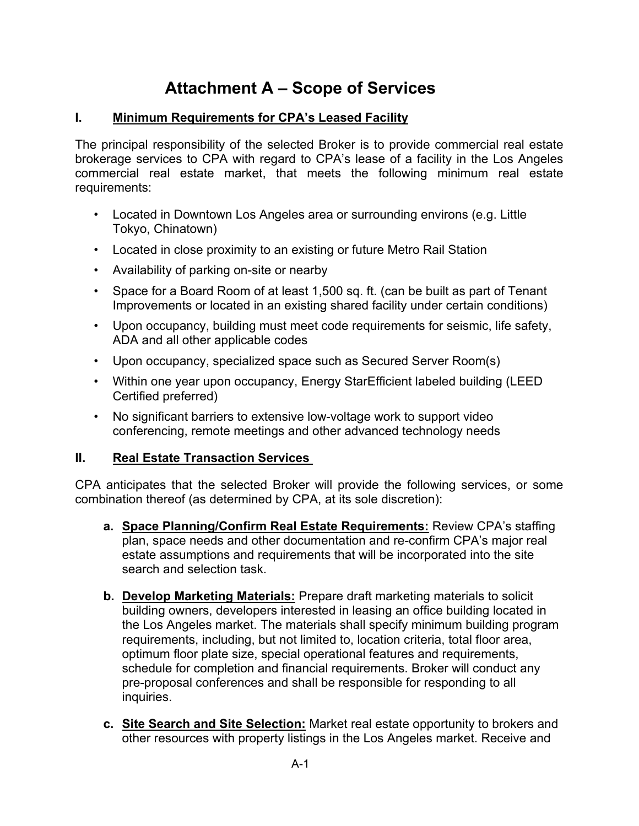# **Attachment A – Scope of Services**

#### **I. Minimum Requirements for CPA's Leased Facility**

The principal responsibility of the selected Broker is to provide commercial real estate brokerage services to CPA with regard to CPA's lease of a facility in the Los Angeles commercial real estate market, that meets the following minimum real estate requirements:

- Located in Downtown Los Angeles area or surrounding environs (e.g. Little Tokyo, Chinatown)
- Located in close proximity to an existing or future Metro Rail Station
- Availability of parking on-site or nearby
- Space for a Board Room of at least 1,500 sq. ft. (can be built as part of Tenant Improvements or located in an existing shared facility under certain conditions)
- Upon occupancy, building must meet code requirements for seismic, life safety, ADA and all other applicable codes
- Upon occupancy, specialized space such as Secured Server Room(s)
- Within one year upon occupancy, Energy StarEfficient labeled building (LEED Certified preferred)
- No significant barriers to extensive low-voltage work to support video conferencing, remote meetings and other advanced technology needs

## **II. Real Estate Transaction Services**

CPA anticipates that the selected Broker will provide the following services, or some combination thereof (as determined by CPA, at its sole discretion):

- **a. Space Planning/Confirm Real Estate Requirements:** Review CPA's staffing plan, space needs and other documentation and re-confirm CPA's major real estate assumptions and requirements that will be incorporated into the site search and selection task.
- **b. Develop Marketing Materials:** Prepare draft marketing materials to solicit building owners, developers interested in leasing an office building located in the Los Angeles market. The materials shall specify minimum building program requirements, including, but not limited to, location criteria, total floor area, optimum floor plate size, special operational features and requirements, schedule for completion and financial requirements. Broker will conduct any pre-proposal conferences and shall be responsible for responding to all inquiries.
- **c. Site Search and Site Selection:** Market real estate opportunity to brokers and other resources with property listings in the Los Angeles market. Receive and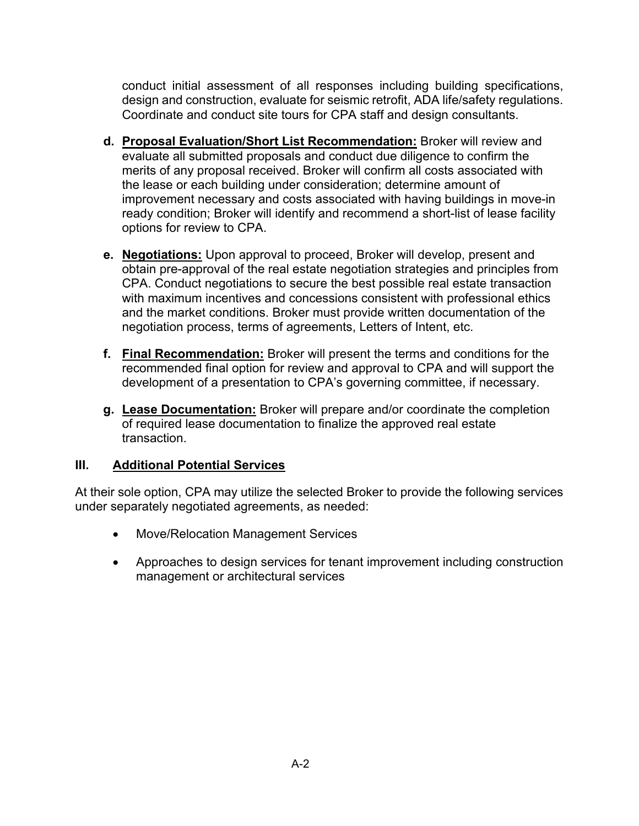conduct initial assessment of all responses including building specifications, design and construction, evaluate for seismic retrofit, ADA life/safety regulations. Coordinate and conduct site tours for CPA staff and design consultants.

- **d. Proposal Evaluation/Short List Recommendation:** Broker will review and evaluate all submitted proposals and conduct due diligence to confirm the merits of any proposal received. Broker will confirm all costs associated with the lease or each building under consideration; determine amount of improvement necessary and costs associated with having buildings in move-in ready condition; Broker will identify and recommend a short-list of lease facility options for review to CPA.
- **e. Negotiations:** Upon approval to proceed, Broker will develop, present and obtain pre-approval of the real estate negotiation strategies and principles from CPA. Conduct negotiations to secure the best possible real estate transaction with maximum incentives and concessions consistent with professional ethics and the market conditions. Broker must provide written documentation of the negotiation process, terms of agreements, Letters of Intent, etc.
- **f. Final Recommendation:** Broker will present the terms and conditions for the recommended final option for review and approval to CPA and will support the development of a presentation to CPA's governing committee, if necessary.
- **g. Lease Documentation:** Broker will prepare and/or coordinate the completion of required lease documentation to finalize the approved real estate transaction.

#### **III. Additional Potential Services**

At their sole option, CPA may utilize the selected Broker to provide the following services under separately negotiated agreements, as needed:

- Move/Relocation Management Services
- Approaches to design services for tenant improvement including construction management or architectural services